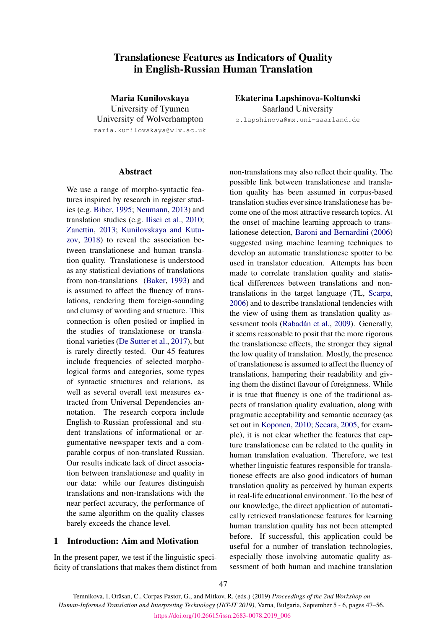# Translationese Features as Indicators of Quality in English-Russian Human Translation

Maria Kunilovskaya University of Tyumen University of Wolverhampton maria.kunilovskaya@wlv.ac.uk

# **Abstract**

We use a range of morpho-syntactic features inspired by research in register studies (e.g. [Biber,](#page-8-0) [1995;](#page-8-0) [Neumann,](#page-9-0) [2013\)](#page-9-0) and translation studies (e.g. [Ilisei et al.,](#page-8-1) [2010;](#page-8-1) [Zanettin,](#page-9-1) [2013;](#page-9-1) [Kunilovskaya and Kutu](#page-8-2)[zov,](#page-8-2) [2018\)](#page-8-2) to reveal the association between translationese and human translation quality. Translationese is understood as any statistical deviations of translations from non-translations [\(Baker,](#page-8-3) [1993\)](#page-8-3) and is assumed to affect the fluency of translations, rendering them foreign-sounding and clumsy of wording and structure. This connection is often posited or implied in the studies of translationese or translational varieties [\(De Sutter et al.,](#page-8-4) [2017\)](#page-8-4), but is rarely directly tested. Our 45 features include frequencies of selected morphological forms and categories, some types of syntactic structures and relations, as well as several overall text measures extracted from Universal Dependencies annotation. The research corpora include English-to-Russian professional and student translations of informational or argumentative newspaper texts and a comparable corpus of non-translated Russian. Our results indicate lack of direct association between translationese and quality in our data: while our features distinguish translations and non-translations with the near perfect accuracy, the performance of the same algorithm on the quality classes barely exceeds the chance level.

# 1 Introduction: Aim and Motivation

In the present paper, we test if the linguistic specificity of translations that makes them distinct from Ekaterina Lapshinova-Koltunski Saarland University

e.lapshinova@mx.uni-saarland.de

non-translations may also reflect their quality. The possible link between translationese and translation quality has been assumed in corpus-based translation studies ever since translationese has become one of the most attractive research topics. At the onset of machine learning approach to translationese detection, [Baroni and Bernardini](#page-8-5) [\(2006\)](#page-8-5) suggested using machine learning techniques to develop an automatic translationese spotter to be used in translator education. Attempts has been made to correlate translation quality and statistical differences between translations and nontranslations in the target language (TL, [Scarpa,](#page-9-2) [2006\)](#page-9-2) and to describe translational tendencies with the view of using them as translation quality assessment tools [\(Rabadán et al.,](#page-9-3) [2009\)](#page-9-3). Generally, it seems reasonable to posit that the more rigorous the translationese effects, the stronger they signal the low quality of translation. Mostly, the presence of translationese is assumed to affect the fluency of translations, hampering their readability and giving them the distinct flavour of foreignness. While it is true that fluency is one of the traditional aspects of translation quality evaluation, along with pragmatic acceptability and semantic accuracy (as set out in [Koponen,](#page-8-6) [2010;](#page-8-6) [Secara,](#page-9-4) [2005,](#page-9-4) for example), it is not clear whether the features that capture translationese can be related to the quality in human translation evaluation. Therefore, we test whether linguistic features responsible for translationese effects are also good indicators of human translation quality as perceived by human experts in real-life educational environment. To the best of our knowledge, the direct application of automatically retrieved translationese features for learning human translation quality has not been attempted before. If successful, this application could be useful for a number of translation technologies, especially those involving automatic quality assessment of both human and machine translation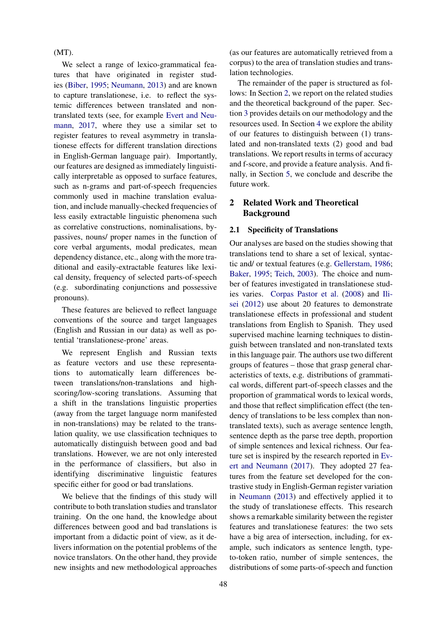# (MT).

We select a range of lexico-grammatical features that have originated in register studies [\(Biber,](#page-8-0) [1995;](#page-8-0) [Neumann,](#page-9-0) [2013\)](#page-9-0) and are known to capture translationese, i.e. to reflect the systemic differences between translated and nontranslated texts (see, for example [Evert and Neu](#page-8-7)[mann,](#page-8-7) [2017,](#page-8-7) where they use a similar set to register features to reveal asymmetry in translationese effects for different translation directions in English-German language pair). Importantly, our features are designed as immediately linguistically interpretable as opposed to surface features, such as n-grams and part-of-speech frequencies commonly used in machine translation evaluation, and include manually-checked frequencies of less easily extractable linguistic phenomena such as correlative constructions, nominalisations, bypassives, nouns/ proper names in the function of core verbal arguments, modal predicates, mean dependency distance, etc., along with the more traditional and easily-extractable features like lexical density, frequency of selected parts-of-speech (e.g. subordinating conjunctions and possessive pronouns).

These features are believed to reflect language conventions of the source and target languages (English and Russian in our data) as well as potential 'translationese-prone' areas.

We represent English and Russian texts as feature vectors and use these representations to automatically learn differences between translations/non-translations and highscoring/low-scoring translations. Assuming that a shift in the translations linguistic properties (away from the target language norm manifested in non-translations) may be related to the translation quality, we use classification techniques to automatically distinguish between good and bad translations. However, we are not only interested in the performance of classifiers, but also in identifying discriminative linguistic features specific either for good or bad translations.

We believe that the findings of this study will contribute to both translation studies and translator training. On the one hand, the knowledge about differences between good and bad translations is important from a didactic point of view, as it delivers information on the potential problems of the novice translators. On the other hand, they provide new insights and new methodological approaches

(as our features are automatically retrieved from a corpus) to the area of translation studies and translation technologies.

The remainder of the paper is structured as follows: In Section [2,](#page-1-0) we report on the related studies and the theoretical background of the paper. Section [3](#page-3-0) provides details on our methodology and the resources used. In Section [4](#page-5-0) we explore the ability of our features to distinguish between (1) translated and non-translated texts (2) good and bad translations. We report results in terms of accuracy and f-score, and provide a feature analysis. And finally, in Section [5,](#page-7-0) we conclude and describe the future work.

# <span id="page-1-0"></span>2 Related Work and Theoretical Background

#### 2.1 Specificity of Translations

Our analyses are based on the studies showing that translations tend to share a set of lexical, syntactic and/ or textual features (e.g. [Gellerstam,](#page-8-8) [1986;](#page-8-8) [Baker,](#page-8-9) [1995;](#page-8-9) [Teich,](#page-9-5) [2003\)](#page-9-5). The choice and number of features investigated in translationese studies varies. [Corpas Pastor et al.](#page-8-10) [\(2008\)](#page-8-10) and [Ili](#page-8-11)[sei](#page-8-11) [\(2012\)](#page-8-11) use about 20 features to demonstrate translationese effects in professional and student translations from English to Spanish. They used supervised machine learning techniques to distinguish between translated and non-translated texts in this language pair. The authors use two different groups of features – those that grasp general characteristics of texts, e.g. distributions of grammatical words, different part-of-speech classes and the proportion of grammatical words to lexical words, and those that reflect simplification effect (the tendency of translations to be less complex than nontranslated texts), such as average sentence length, sentence depth as the parse tree depth, proportion of simple sentences and lexical richness. Our feature set is inspired by the research reported in [Ev](#page-8-7)[ert and Neumann](#page-8-7) [\(2017\)](#page-8-7). They adopted 27 features from the feature set developed for the contrastive study in English-German register variation in [Neumann](#page-9-0) [\(2013\)](#page-9-0) and effectively applied it to the study of translationese effects. This research shows a remarkable similarity between the register features and translationese features: the two sets have a big area of intersection, including, for example, such indicators as sentence length, typeto-token ratio, number of simple sentences, the distributions of some parts-of-speech and function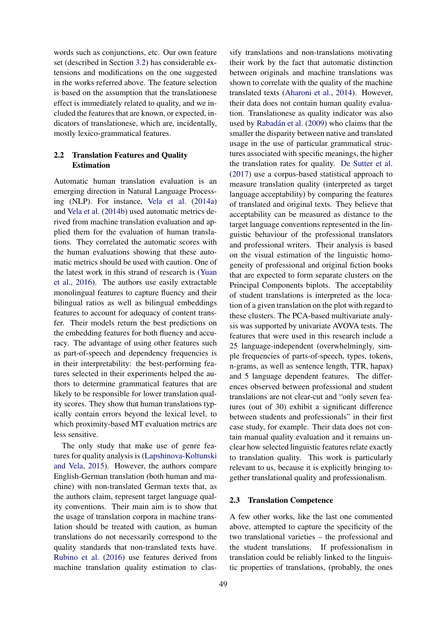words such as conjunctions, etc. Our own feature set (described in Section [3.2\)](#page-4-0) has considerable extensions and modifications on the one suggested in the works referred above. The feature selection is based on the assumption that the translationese effect is immediately related to quality, and we included the features that are known, or expected, indicators of translationese, which are, incidentally, mostly lexico-grammatical features.

# 2.2 Translation Features and Quality Estimation

Automatic human translation evaluation is an emerging direction in Natural Language Processing (NLP). For instance, [Vela et al.](#page-9-6) [\(2014a\)](#page-9-6) and [Vela et al.](#page-9-7) [\(2014b\)](#page-9-7) used automatic metrics derived from machine translation evaluation and applied them for the evaluation of human translations. They correlated the automatic scores with the human evaluations showing that these automatic metrics should be used with caution. One of the latest work in this strand of research is [\(Yuan](#page-9-8) [et al.,](#page-9-8) [2016\)](#page-9-8). The authors use easily extractable monolingual features to capture fluency and their bilingual ratios as well as bilingual embeddings features to account for adequacy of content transfer. Their models return the best predictions on the embedding features for both fluency and accuracy. The advantage of using other features such as part-of-speech and dependency frequencies is in their interpretability: the best-performing features selected in their experiments helped the authors to determine grammatical features that are likely to be responsible for lower translation quality scores. They show that human translations typically contain errors beyond the lexical level, to which proximity-based MT evaluation metrics are less sensitive.

The only study that make use of genre features for quality analysis is [\(Lapshinova-Koltunski](#page-9-9) [and Vela,](#page-9-9) [2015\)](#page-9-9). However, the authors compare English-German translation (both human and machine) with non-translated German texts that, as the authors claim, represent target language quality conventions. Their main aim is to show that the usage of translation corpora in machine translation should be treated with caution, as human translations do not necessarily correspond to the quality standards that non-translated texts have. [Rubino et al.](#page-9-10) [\(2016\)](#page-9-10) use features derived from machine translation quality estimation to clas-

sify translations and non-translations motivating their work by the fact that automatic distinction between originals and machine translations was shown to correlate with the quality of the machine translated texts [\(Aharoni et al.,](#page-8-12) [2014\)](#page-8-12). However, their data does not contain human quality evaluation. Translationese as quality indicator was also used by [Rabadán et al.](#page-9-3) [\(2009\)](#page-9-3) who claims that the smaller the disparity between native and translated usage in the use of particular grammatical structures associated with specific meanings, the higher the translation rates for quality. [De Sutter et al.](#page-8-4) [\(2017\)](#page-8-4) use a corpus-based statistical approach to measure translation quality (interpreted as target language acceptability) by comparing the features of translated and original texts. They believe that acceptability can be measured as distance to the target language conventions represented in the linguistic behaviour of the professional translators and professional writers. Their analysis is based on the visual estimation of the linguistic homogeneity of professional and original fiction books that are expected to form separate clusters on the Principal Components biplots. The acceptability of student translations is interpreted as the location of a given translation on the plot with regard to these clusters. The PCA-based multivariate analysis was supported by univariate AVOVA tests. The features that were used in this research include a 25 language-independent (overwhelmingly, simple frequencies of parts-of-speech, types, tokens, n-grams, as well as sentence length, TTR, hapax) and 5 language dependent features. The differences observed between professional and student translations are not clear-cut and "only seven features (out of 30) exhibit a significant difference between students and professionals" in their first case study, for example. Their data does not contain manual quality evaluation and it remains unclear how selected linguistic features relate exactly to translation quality. This work is particularly relevant to us, because it is explicitly bringing together translational quality and professionalism.

## 2.3 Translation Competence

A few other works, like the last one commented above, attempted to capture the specificity of the two translational varieties – the professional and the student translations. If professionalism in translation could be reliably linked to the linguistic properties of translations, (probably, the ones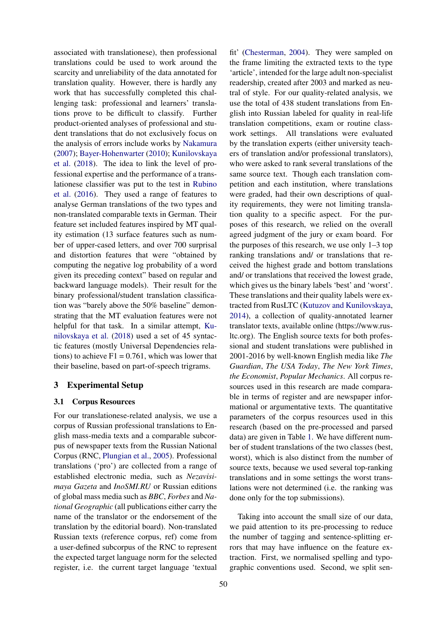associated with translationese), then professional translations could be used to work around the scarcity and unreliability of the data annotated for translation quality. However, there is hardly any work that has successfully completed this challenging task: professional and learners' translations prove to be difficult to classify. Further product-oriented analyses of professional and student translations that do not exclusively focus on the analysis of errors include works by [Nakamura](#page-9-11) [\(2007\)](#page-9-11); [Bayer-Hohenwarter](#page-8-13) [\(2010\)](#page-8-13); [Kunilovskaya](#page-9-12) [et al.](#page-9-12) [\(2018\)](#page-9-12). The idea to link the level of professional expertise and the performance of a translationese classifier was put to the test in [Rubino](#page-9-10) [et al.](#page-9-10) [\(2016\)](#page-9-10). They used a range of features to analyse German translations of the two types and non-translated comparable texts in German. Their feature set included features inspired by MT quality estimation (13 surface features such as number of upper-cased letters, and over 700 surprisal and distortion features that were "obtained by computing the negative log probability of a word given its preceding context" based on regular and backward language models). Their result for the binary professional/student translation classification was "barely above the 50% baseline" demonstrating that the MT evaluation features were not helpful for that task. In a similar attempt, [Ku](#page-9-12)[nilovskaya et al.](#page-9-12) [\(2018\)](#page-9-12) used a set of 45 syntactic features (mostly Universal Dependencies relations) to achieve  $F1 = 0.761$ , which was lower that their baseline, based on part-of-speech trigrams.

# <span id="page-3-0"></span>3 Experimental Setup

# 3.1 Corpus Resources

For our translationese-related analysis, we use a corpus of Russian professional translations to English mass-media texts and a comparable subcorpus of newspaper texts from the Russian National Corpus (RNC, [Plungian et al.,](#page-9-13) [2005\)](#page-9-13). Professional translations ('pro') are collected from a range of established electronic media, such as *Nezavisimaya Gazeta* and *InoSMI.RU* or Russian editions of global mass media such as *BBC*, *Forbes* and *National Geographic* (all publications either carry the name of the translator or the endorsement of the translation by the editorial board). Non-translated Russian texts (reference corpus, ref) come from a user-defined subcorpus of the RNC to represent the expected target language norm for the selected register, i.e. the current target language 'textual

50

fit' [\(Chesterman,](#page-8-14) [2004\)](#page-8-14). They were sampled on the frame limiting the extracted texts to the type 'article', intended for the large adult non-specialist readership, created after 2003 and marked as neutral of style. For our quality-related analysis, we use the total of 438 student translations from English into Russian labeled for quality in real-life translation competitions, exam or routine classwork settings. All translations were evaluated by the translation experts (either university teachers of translation and/or professional translators), who were asked to rank several translations of the same source text. Though each translation competition and each institution, where translations were graded, had their own descriptions of quality requirements, they were not limiting translation quality to a specific aspect. For the purposes of this research, we relied on the overall agreed judgment of the jury or exam board. For the purposes of this research, we use only 1–3 top ranking translations and/ or translations that received the highest grade and bottom translations and/ or translations that received the lowest grade, which gives us the binary labels 'best' and 'worst'. These translations and their quality labels were extracted from RusLTC [\(Kutuzov and Kunilovskaya,](#page-9-14) [2014\)](#page-9-14), a collection of quality-annotated learner translator texts, available online (https://www.rusltc.org). The English source texts for both professional and student translations were published in 2001-2016 by well-known English media like *The Guardian*, *The USA Today*, *The New York Times*, *the Economist*, *Popular Mechanics*. All corpus resources used in this research are made comparable in terms of register and are newspaper informational or argumentative texts. The quantitative parameters of the corpus resources used in this research (based on the pre-processed and parsed data) are given in Table [1.](#page-4-1) We have different number of student translations of the two classes (best, worst), which is also distinct from the number of source texts, because we used several top-ranking translations and in some settings the worst translations were not determined (i.e. the ranking was done only for the top submissions).

Taking into account the small size of our data, we paid attention to its pre-processing to reduce the number of tagging and sentence-splitting errors that may have influence on the feature extraction. First, we normalised spelling and typographic conventions used. Second, we split sen-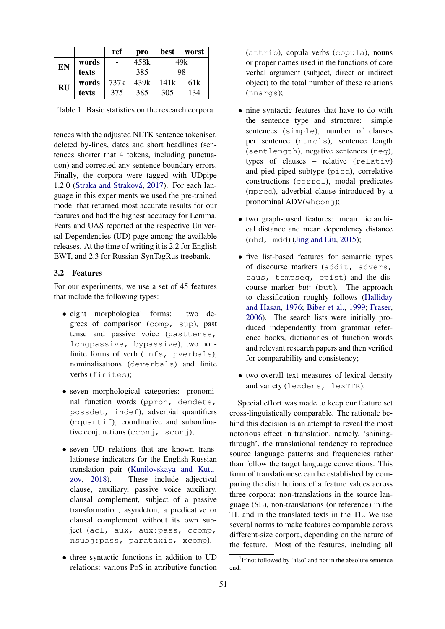|           |       | ref  | pro  | best | worst           |
|-----------|-------|------|------|------|-----------------|
| EN        | words |      | 458k |      | 49k             |
|           | texts |      | 385  | 98   |                 |
| <b>RU</b> | words | 737k | 439k | 141k | 61 <sub>k</sub> |
|           | texts | 375  | 385  | 305  | 134             |

<span id="page-4-1"></span>Table 1: Basic statistics on the research corpora

tences with the adjusted NLTK sentence tokeniser, deleted by-lines, dates and short headlines (sentences shorter that 4 tokens, including punctuation) and corrected any sentence boundary errors. Finally, the corpora were tagged with UDpipe 1.2.0 [\(Straka and Straková,](#page-9-15) [2017\)](#page-9-15). For each language in this experiments we used the pre-trained model that returned most accurate results for our features and had the highest accuracy for Lemma, Feats and UAS reported at the respective Universal Dependencies (UD) page among the available releases. At the time of writing it is 2.2 for English EWT, and 2.3 for Russian-SynTagRus treebank.

## <span id="page-4-0"></span>3.2 Features

For our experiments, we use a set of 45 features that include the following types:

- eight morphological forms: two degrees of comparison (comp, sup), past tense and passive voice (pasttense, longpassive, bypassive), two nonfinite forms of verb (infs, pverbals), nominalisations (deverbals) and finite verbs (finites);
- seven morphological categories: pronominal function words (ppron, demdets, possdet, indef), adverbial quantifiers (mquantif), coordinative and subordinative conjunctions (cconj, sconj);
- seven UD relations that are known translationese indicators for the English-Russian translation pair [\(Kunilovskaya and Kutu](#page-8-2)[zov,](#page-8-2) [2018\)](#page-8-2). These include adjectival clause, auxiliary, passive voice auxiliary, clausal complement, subject of a passive transformation, asyndeton, a predicative or clausal complement without its own subject (acl, aux, aux:pass, ccomp, nsubj:pass, parataxis, xcomp).
- three syntactic functions in addition to UD relations: various PoS in attributive function

(attrib), copula verbs (copula), nouns or proper names used in the functions of core verbal argument (subject, direct or indirect object) to the total number of these relations (nnargs);

- nine syntactic features that have to do with the sentence type and structure: simple sentences (simple), number of clauses per sentence (numcls), sentence length (sentlength), negative sentences (neg), types of clauses – relative (relativ) and pied-piped subtype (pied), correlative constructions (correl), modal predicates (mpred), adverbial clause introduced by a pronominal  $ADV$ (whconj);
- two graph-based features: mean hierarchical distance and mean dependency distance (mhd, mdd) [\(Jing and Liu,](#page-8-15) [2015\)](#page-8-15);
- five list-based features for semantic types of discourse markers (addit, advers, caus, tempseq, epist) and the discourse marker  $but^1$  $but^1$  (but). The approach to classification roughly follows [\(Halliday](#page-8-16) [and Hasan,](#page-8-16) [1976;](#page-8-16) [Biber et al.,](#page-8-17) [1999;](#page-8-17) [Fraser,](#page-8-18) [2006\)](#page-8-18). The search lists were initially produced independently from grammar reference books, dictionaries of function words and relevant research papers and then verified for comparability and consistency;
- two overall text measures of lexical density and variety (lexdens, lexTTR).

Special effort was made to keep our feature set cross-linguistically comparable. The rationale behind this decision is an attempt to reveal the most notorious effect in translation, namely, 'shiningthrough', the translational tendency to reproduce source language patterns and frequencies rather than follow the target language conventions. This form of translationese can be established by comparing the distributions of a feature values across three corpora: non-translations in the source language (SL), non-translations (or reference) in the TL and in the translated texts in the TL. We use several norms to make features comparable across different-size corpora, depending on the nature of the feature. Most of the features, including all

<span id="page-4-2"></span><sup>&</sup>lt;sup>1</sup>If not followed by 'also' and not in the absolute sentence end.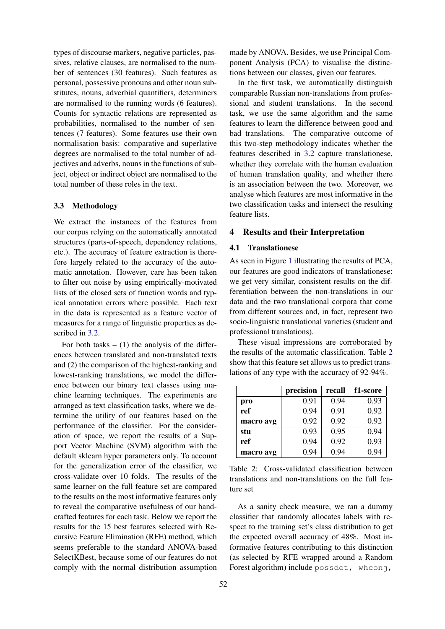types of discourse markers, negative particles, passives, relative clauses, are normalised to the number of sentences (30 features). Such features as personal, possessive pronouns and other noun substitutes, nouns, adverbial quantifiers, determiners are normalised to the running words (6 features). Counts for syntactic relations are represented as probabilities, normalised to the number of sentences (7 features). Some features use their own normalisation basis: comparative and superlative degrees are normalised to the total number of adjectives and adverbs, nouns in the functions of subject, object or indirect object are normalised to the total number of these roles in the text.

#### 3.3 Methodology

We extract the instances of the features from our corpus relying on the automatically annotated structures (parts-of-speech, dependency relations, etc.). The accuracy of feature extraction is therefore largely related to the accuracy of the automatic annotation. However, care has been taken to filter out noise by using empirically-motivated lists of the closed sets of function words and typical annotation errors where possible. Each text in the data is represented as a feature vector of measures for a range of linguistic properties as described in [3.2.](#page-4-0)

For both tasks  $- (1)$  the analysis of the differences between translated and non-translated texts and (2) the comparison of the highest-ranking and lowest-ranking translations, we model the difference between our binary text classes using machine learning techniques. The experiments are arranged as text classification tasks, where we determine the utility of our features based on the performance of the classifier. For the consideration of space, we report the results of a Support Vector Machine (SVM) algorithm with the default sklearn hyper parameters only. To account for the generalization error of the classifier, we cross-validate over 10 folds. The results of the same learner on the full feature set are compared to the results on the most informative features only to reveal the comparative usefulness of our handcrafted features for each task. Below we report the results for the 15 best features selected with Recursive Feature Elimination (RFE) method, which seems preferable to the standard ANOVA-based SelectKBest, because some of our features do not comply with the normal distribution assumption

made by ANOVA. Besides, we use Principal Component Analysis (PCA) to visualise the distinctions between our classes, given our features.

In the first task, we automatically distinguish comparable Russian non-translations from professional and student translations. In the second task, we use the same algorithm and the same features to learn the difference between good and bad translations. The comparative outcome of this two-step methodology indicates whether the features described in [3.2](#page-4-0) capture translationese, whether they correlate with the human evaluation of human translation quality, and whether there is an association between the two. Moreover, we analyse which features are most informative in the two classification tasks and intersect the resulting feature lists.

## <span id="page-5-0"></span>4 Results and their Interpretation

#### 4.1 Translationese

As seen in Figure [1](#page-6-0) illustrating the results of PCA, our features are good indicators of translationese: we get very similar, consistent results on the differentiation between the non-translations in our data and the two translational corpora that come from different sources and, in fact, represent two socio-linguistic translational varieties (student and professional translations).

These visual impressions are corroborated by the results of the automatic classification. Table [2](#page-5-1) show that this feature set allows us to predict translations of any type with the accuracy of 92-94%.

|           | precision | recall | f1-score |
|-----------|-----------|--------|----------|
| pro       | 0.91      | 0.94   | 0.93     |
| ref       | 0.94      | 0.91   | 0.92     |
| macro avg | 0.92      | 0.92   | 0.92     |
| stu       | 0.93      | 0.95   | 0.94     |
| ref       | 0.94      | 0.92   | 0.93     |
| macro avg | 0.94      | 0.94   | 0.94     |

<span id="page-5-1"></span>

| Table 2: Cross-validated classification between    |  |
|----------------------------------------------------|--|
| translations and non-translations on the full fea- |  |
| ture set                                           |  |

As a sanity check measure, we ran a dummy classifier that randomly allocates labels with respect to the training set's class distribution to get the expected overall accuracy of 48%. Most informative features contributing to this distinction (as selected by RFE wrapped around a Random Forest algorithm) include possdet, whconj,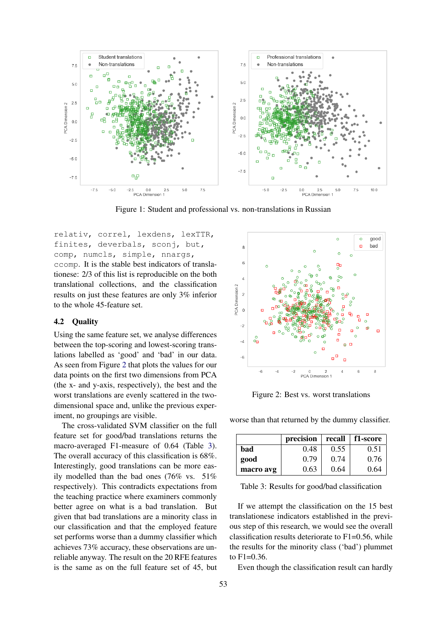

<span id="page-6-0"></span>Figure 1: Student and professional vs. non-translations in Russian

relativ, correl, lexdens, lexTTR, finites, deverbals, sconj, but, comp, numcls, simple, nnargs, ccomp. It is the stable best indicators of translationese: 2/3 of this list is reproducible on the both translational collections, and the classification results on just these features are only 3% inferior to the whole 45-feature set.

## 4.2 Quality

Using the same feature set, we analyse differences between the top-scoring and lowest-scoring translations labelled as 'good' and 'bad' in our data. As seen from Figure [2](#page-6-1) that plots the values for our data points on the first two dimensions from PCA (the x- and y-axis, respectively), the best and the worst translations are evenly scattered in the twodimensional space and, unlike the previous experiment, no groupings are visible.

The cross-validated SVM classifier on the full feature set for good/bad translations returns the macro-averaged F1-measure of 0.64 (Table [3\)](#page-6-2). The overall accuracy of this classification is 68%. Interestingly, good translations can be more easily modelled than the bad ones (76% vs. 51% respectively). This contradicts expectations from the teaching practice where examiners commonly better agree on what is a bad translation. But given that bad translations are a minority class in our classification and that the employed feature set performs worse than a dummy classifier which achieves 73% accuracy, these observations are unreliable anyway. The result on the 20 RFE features is the same as on the full feature set of 45, but



<span id="page-6-1"></span>Figure 2: Best vs. worst translations

worse than that returned by the dummy classifier.

|           | precision | recall | f1-score |
|-----------|-----------|--------|----------|
| bad       | 0.48      | 0.55   | 0.51     |
| good      | 0.79      | 0.74   | 0.76     |
| macro avg | 0.63      | 0.64   | 0.64     |

<span id="page-6-2"></span>Table 3: Results for good/bad classification

If we attempt the classification on the 15 best translationese indicators established in the previous step of this research, we would see the overall classification results deteriorate to F1=0.56, while the results for the minority class ('bad') plummet to F1=0.36.

Even though the classification result can hardly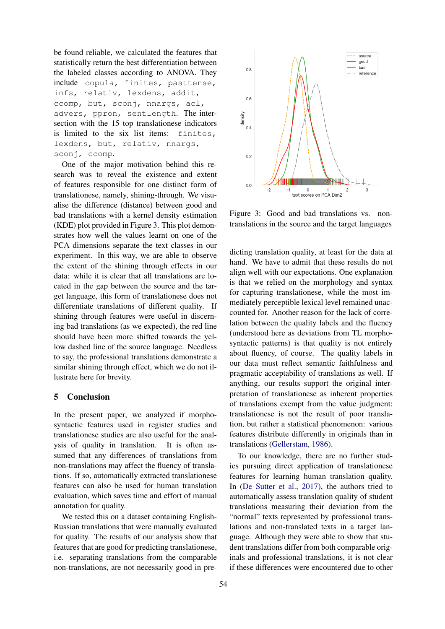be found reliable, we calculated the features that statistically return the best differentiation between the labeled classes according to ANOVA. They include copula, finites, pasttense, infs, relativ, lexdens, addit, ccomp, but, sconj, nnargs, acl, advers, ppron, sentlength. The intersection with the 15 top translationese indicators is limited to the six list items: finites, lexdens, but, relativ, nnargs, sconj, ccomp.

One of the major motivation behind this research was to reveal the existence and extent of features responsible for one distinct form of translationese, namely, shining-through. We visualise the difference (distance) between good and bad translations with a kernel density estimation (KDE) plot provided in Figure [3.](#page-7-1) This plot demonstrates how well the values learnt on one of the PCA dimensions separate the text classes in our experiment. In this way, we are able to observe the extent of the shining through effects in our data: while it is clear that all translations are located in the gap between the source and the target language, this form of translationese does not differentiate translations of different quality. If shining through features were useful in discerning bad translations (as we expected), the red line should have been more shifted towards the yellow dashed line of the source language. Needless to say, the professional translations demonstrate a similar shining through effect, which we do not illustrate here for brevity.

# <span id="page-7-0"></span>5 Conclusion

In the present paper, we analyzed if morphosyntactic features used in register studies and translationese studies are also useful for the analysis of quality in translation. It is often assumed that any differences of translations from non-translations may affect the fluency of translations. If so, automatically extracted translationese features can also be used for human translation evaluation, which saves time and effort of manual annotation for quality.

We tested this on a dataset containing English-Russian translations that were manually evaluated for quality. The results of our analysis show that features that are good for predicting translationese, i.e. separating translations from the comparable non-translations, are not necessarily good in pre-



<span id="page-7-1"></span>Figure 3: Good and bad translations vs. nontranslations in the source and the target languages

dicting translation quality, at least for the data at hand. We have to admit that these results do not align well with our expectations. One explanation is that we relied on the morphology and syntax for capturing translationese, while the most immediately perceptible lexical level remained unaccounted for. Another reason for the lack of correlation between the quality labels and the fluency (understood here as deviations from TL morphosyntactic patterns) is that quality is not entirely about fluency, of course. The quality labels in our data must reflect semantic faithfulness and pragmatic acceptability of translations as well. If anything, our results support the original interpretation of translationese as inherent properties of translations exempt from the value judgment: translationese is not the result of poor translation, but rather a statistical phenomenon: various features distribute differently in originals than in translations [\(Gellerstam,](#page-8-8) [1986\)](#page-8-8).

To our knowledge, there are no further studies pursuing direct application of translationese features for learning human translation quality. In [\(De Sutter et al.,](#page-8-4) [2017\)](#page-8-4), the authors tried to automatically assess translation quality of student translations measuring their deviation from the "normal" texts represented by professional translations and non-translated texts in a target language. Although they were able to show that student translations differ from both comparable originals and professional translations, it is not clear if these differences were encountered due to other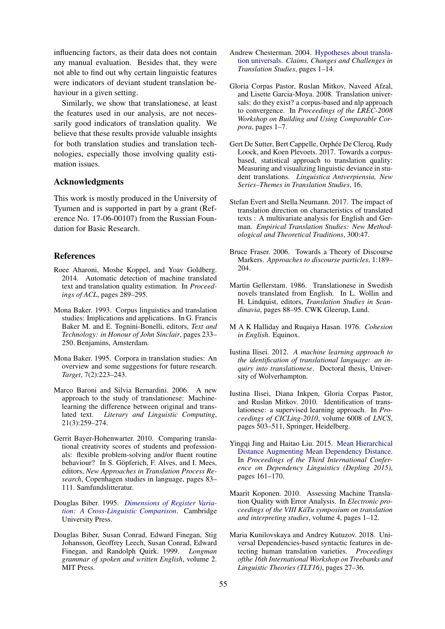influencing factors, as their data does not contain any manual evaluation. Besides that, they were not able to find out why certain linguistic features were indicators of deviant student translation behaviour in a given setting.

Similarly, we show that translationese, at least the features used in our analysis, are not necessarily good indicators of translation quality. We believe that these results provide valuable insights for both translation studies and translation technologies, especially those involving quality estimation issues.

# Acknowledgments

This work is mostly produced in the University of Tyumen and is supported in part by a grant (Reference No. 17-06-00107) from the Russian Foundation for Basic Research.

## References

- <span id="page-8-12"></span>Roee Aharoni, Moshe Koppel, and Yoav Goldberg. 2014. Automatic detection of machine translated text and translation quality estimation. In *Proceedings of ACL*, pages 289–295.
- <span id="page-8-3"></span>Mona Baker. 1993. Corpus linguistics and translation studies: Implications and applications. In G. Francis Baker M. and E. Tognini-Bonelli, editors, *Text and Technology: in Honour of John Sinclair*, pages 233– 250. Benjamins, Amsterdam.
- <span id="page-8-9"></span>Mona Baker. 1995. Corpora in translation studies: An overview and some suggestions for future research. *Target*, 7(2):223–243.
- <span id="page-8-5"></span>Marco Baroni and Silvia Bernardini. 2006. A new approach to the study of translationese: Machinelearning the difference between original and translated text. *Literary and Linguistic Computing*, 21(3):259–274.
- <span id="page-8-13"></span>Gerrit Bayer-Hohenwarter. 2010. Comparing translational creativity scores of students and professionals: flexible problem-solving and/or fluent routine behaviour? In S. Göpferich, F. Alves, and I. Mees, editors, *New Approaches in Translation Process Research*, Copenhagen studies in language, pages 83– 111. Samfundslitteratur.
- <span id="page-8-0"></span>Douglas Biber. 1995. *[Dimensions of Register Varia](https://books.google.de/books?id=c2eN9Z5uNdQC)[tion: A Cross-Linguistic Comparison](https://books.google.de/books?id=c2eN9Z5uNdQC)*. Cambridge University Press.
- <span id="page-8-17"></span>Douglas Biber, Susan Conrad, Edward Finegan, Stig Johansson, Geoffrey Leech, Susan Conrad, Edward Finegan, and Randolph Quirk. 1999. *Longman grammar of spoken and written English*, volume 2. MIT Press.
- <span id="page-8-14"></span>Andrew Chesterman. 2004. [Hypotheses about transla](https://doi.org/10.1075/btl.50.02che)[tion universals.](https://doi.org/10.1075/btl.50.02che) *Claims, Changes and Challenges in Translation Studies*, pages 1–14.
- <span id="page-8-10"></span>Gloria Corpas Pastor, Ruslan Mitkov, Naveed Afzal, and Lisette Garcia-Moya. 2008. Translation universals: do they exist? a corpus-based and nlp approach to convergence. In *Proceedings of the LREC-2008 Workshop on Building and Using Comparable Corpora*, pages 1–7.
- <span id="page-8-4"></span>Gert De Sutter, Bert Cappelle, Orphée De Clercq, Rudy Loock, and Koen Plevoets. 2017. Towards a corpusbased, statistical approach to translation quality: Measuring and visualizing linguistic deviance in student translations. *Linguistica Antverpiensia, New Series–Themes in Translation Studies*, 16.
- <span id="page-8-7"></span>Stefan Evert and Stella Neumann. 2017. The impact of translation direction on characteristics of translated texts : A multivariate analysis for English and German. *Empirical Translation Studies: New Methodological and Theoretical Traditions*, 300:47.
- <span id="page-8-18"></span>Bruce Fraser. 2006. Towards a Theory of Discourse Markers. *Approaches to discourse particles*, 1:189– 204.
- <span id="page-8-8"></span>Martin Gellerstam. 1986. Translationese in Swedish novels translated from English. In L. Wollin and H. Lindquist, editors, *Translation Studies in Scandinavia*, pages 88–95. CWK Gleerup, Lund.
- <span id="page-8-16"></span>M A K Halliday and Ruqaiya Hasan. 1976. *Cohesion in English*. Equinox.
- <span id="page-8-11"></span>Iustina Ilisei. 2012. *A machine learning approach to the identification of translational language: an inquiry into translationese*. Doctoral thesis, University of Wolverhampton.
- <span id="page-8-1"></span>Iustina Ilisei, Diana Inkpen, Gloria Corpas Pastor, and Ruslan Mitkov. 2010. Identification of translationese: a supervised learning approach. In *Proceedings of CICLing-2010*, volume 6008 of *LNCS*, pages 503–511, Springer, Heidelberg.
- <span id="page-8-15"></span>Yingqi Jing and Haitao Liu. 2015. [Mean Hierarchical](http://ufal.mff.cuni.cz/pcedt2.0/) [Distance Augmenting Mean Dependency Distance.](http://ufal.mff.cuni.cz/pcedt2.0/) In *Proceedings of the Third International Conference on Dependency Linguistics (Depling 2015)*, pages 161–170.
- <span id="page-8-6"></span>Maarit Koponen. 2010. Assessing Machine Translation Quality with Error Analysis. In *Electronic proceedings of the VIII KäTu symposium on translation and interpreting studies*, volume 4, pages 1–12.
- <span id="page-8-2"></span>Maria Kunilovskaya and Andrey Kutuzov. 2018. Universal Dependencies-based syntactic features in detecting human translation varieties. *Proceedings ofthe 16th International Workshop on Treebanks and Linguistic Theories (TLT16)*, pages 27–36.